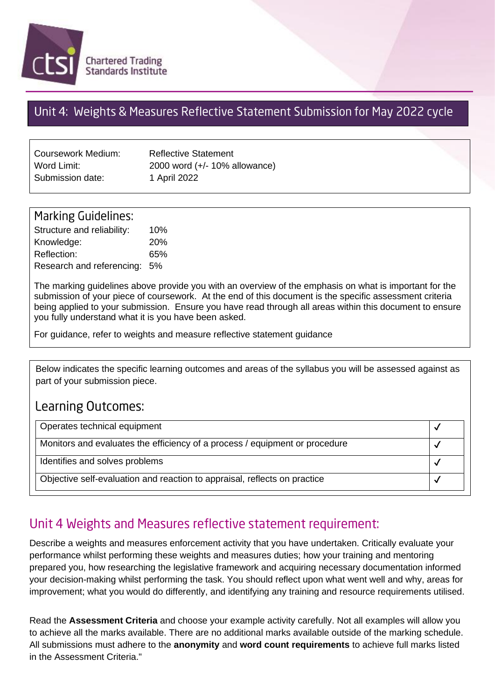

## Unit 4: Weights & Measures Reflective Statement Submission for May 2022 cycle

| Coursework Medium: | <b>Reflective Statement</b>   |
|--------------------|-------------------------------|
| Word Limit:        | 2000 word (+/- 10% allowance) |
| Submission date:   | 1 April 2022                  |

| <b>Marking Guidelines:</b>   |     |
|------------------------------|-----|
| Structure and reliability:   | 10% |
| Knowledge:                   | 20% |
| Reflection:                  | 65% |
| Research and referencing: 5% |     |

The marking guidelines above provide you with an overview of the emphasis on what is important for the submission of your piece of coursework. At the end of this document is the specific assessment criteria being applied to your submission. Ensure you have read through all areas within this document to ensure you fully understand what it is you have been asked.

For guidance, refer to weights and measure reflective statement guidance

Below indicates the specific learning outcomes and areas of the syllabus you will be assessed against as part of your submission piece.

### Learning Outcomes:

| Operates technical equipment                                                |  |
|-----------------------------------------------------------------------------|--|
| Monitors and evaluates the efficiency of a process / equipment or procedure |  |
| Identifies and solves problems                                              |  |
| Objective self-evaluation and reaction to appraisal, reflects on practice   |  |

# Unit 4 Weights and Measures reflective statement requirement:

Describe a weights and measures enforcement activity that you have undertaken. Critically evaluate your performance whilst performing these weights and measures duties; how your training and mentoring prepared you, how researching the legislative framework and acquiring necessary documentation informed your decision-making whilst performing the task. You should reflect upon what went well and why, areas for improvement; what you would do differently, and identifying any training and resource requirements utilised.

Read the **Assessment Criteria** and choose your example activity carefully. Not all examples will allow you to achieve all the marks available. There are no additional marks available outside of the marking schedule. All submissions must adhere to the **anonymity** and **word count requirements** to achieve full marks listed in the Assessment Criteria."